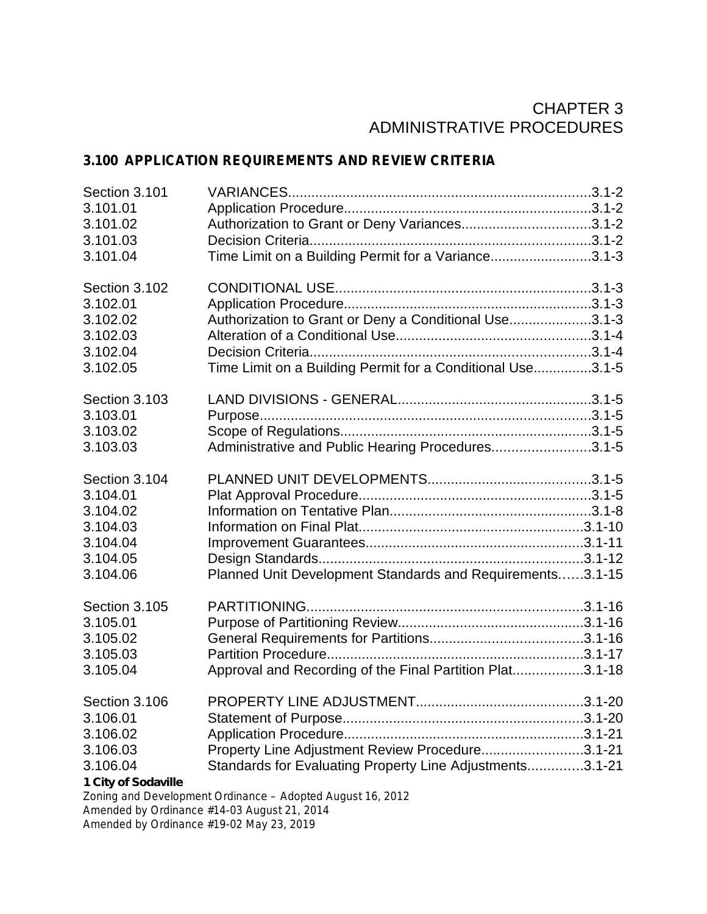# CHAPTER 3 ADMINISTRATIVE PROCEDURES

# **3.100 APPLICATION REQUIREMENTS AND REVIEW CRITERIA**

| Section 3.101                                                                        |                                                                                                             |
|--------------------------------------------------------------------------------------|-------------------------------------------------------------------------------------------------------------|
| 3.101.01                                                                             |                                                                                                             |
| 3.101.02                                                                             | Authorization to Grant or Deny Variances3.1-2                                                               |
| 3.101.03                                                                             |                                                                                                             |
| 3.101.04                                                                             | Time Limit on a Building Permit for a Variance3.1-3                                                         |
| Section 3.102                                                                        |                                                                                                             |
| 3.102.01                                                                             |                                                                                                             |
| 3.102.02                                                                             | Authorization to Grant or Deny a Conditional Use3.1-3                                                       |
| 3.102.03                                                                             |                                                                                                             |
| 3.102.04                                                                             |                                                                                                             |
| 3.102.05                                                                             | Time Limit on a Building Permit for a Conditional Use3.1-5                                                  |
| Section 3.103                                                                        |                                                                                                             |
| 3.103.01                                                                             |                                                                                                             |
| 3.103.02                                                                             |                                                                                                             |
| 3.103.03                                                                             | Administrative and Public Hearing Procedures3.1-5                                                           |
| Section 3.104                                                                        |                                                                                                             |
| 3.104.01                                                                             |                                                                                                             |
| 3.104.02                                                                             |                                                                                                             |
| 3.104.03                                                                             |                                                                                                             |
| 3.104.04                                                                             |                                                                                                             |
| 3.104.05                                                                             |                                                                                                             |
| 3.104.06                                                                             | Planned Unit Development Standards and Requirements3.1-15                                                   |
| Section 3.105                                                                        |                                                                                                             |
| 3.105.01                                                                             |                                                                                                             |
| 3.105.02                                                                             |                                                                                                             |
| 3.105.03                                                                             |                                                                                                             |
| 3.105.04                                                                             | Approval and Recording of the Final Partition Plat3.1-18                                                    |
| Section 3.106<br>3.106.01<br>3.106.02<br>3.106.03<br>3.106.04<br>1 City of Sodaville | Property Line Adjustment Review Procedure3.1-21<br>Standards for Evaluating Property Line Adjustments3.1-21 |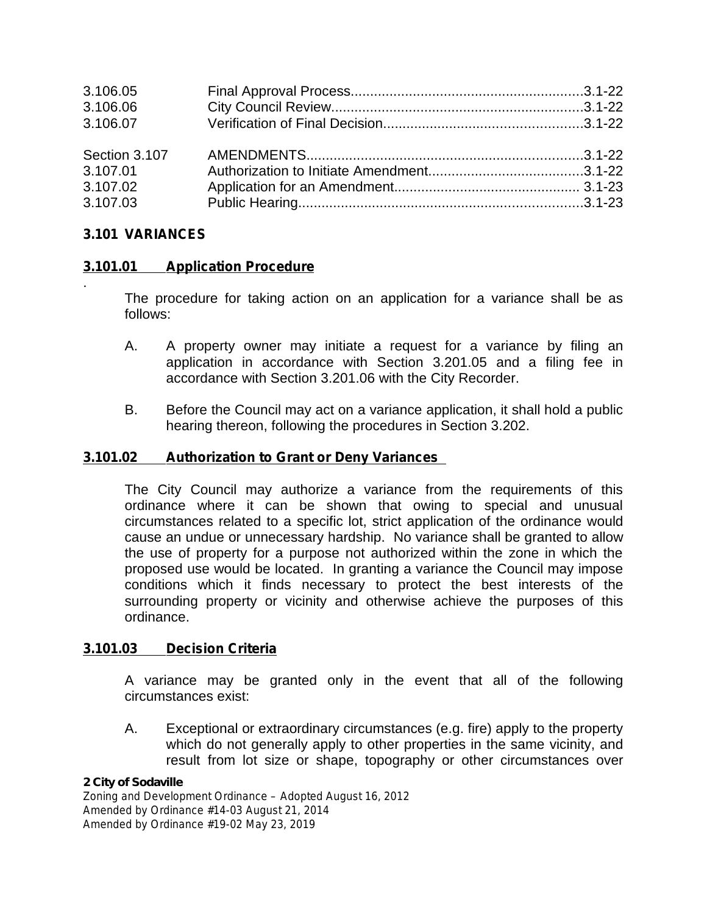| 3.106.05      |  |
|---------------|--|
| 3.106.06      |  |
| 3.106.07      |  |
| Section 3.107 |  |
| 3.107.01      |  |
| 3.107.02      |  |
| 3.107.03      |  |

# **3.101 VARIANCES**

.

# **3.101.01 Application Procedure**

The procedure for taking action on an application for a variance shall be as follows:

- A. A property owner may initiate a request for a variance by filing an application in accordance with Section 3.201.05 and a filing fee in accordance with Section 3.201.06 with the City Recorder.
- B. Before the Council may acton a variance application, it shall hold a public hearing thereon, following the procedures in Section 3.202.

### **3.101.02 Authorization to Grant or Deny Variances**

The City Council may authorize a variance from the requirements of this ordinance where it can be shown that owing to special and unusual circumstances related to a specific lot, strict application of the ordinance would cause an undue or unnecessary hardship. No variance shall be granted to allow the use of property for a purpose not authorized within the zone in which the proposed use would be located. In granting a variance the Council may impose conditions which it finds necessary to protect the best interests of the surrounding property or vicinity and otherwise achieve the purposes of this ordinance.

### **3.101.03 Decision Criteria**

A variance may be granted only in the event that all of the following circumstances exist:

A. Exceptional or extraordinary circumstances (e.g. fire) apply to the property which do not generally apply to other properties in the same vicinity, and result from lot size or shape, topography or other circumstances over

### *2 City of Sodaville*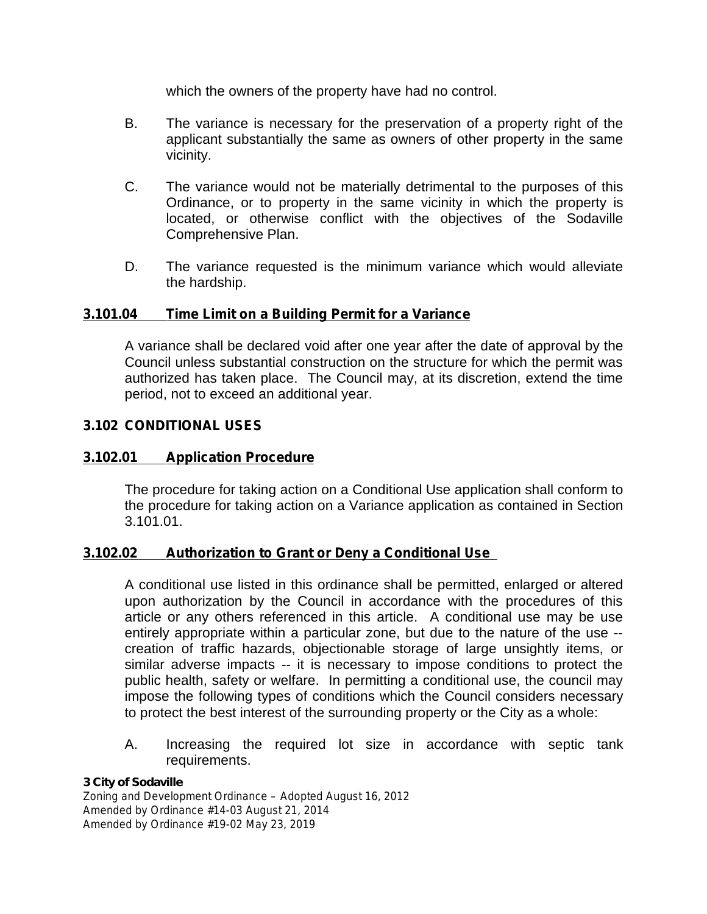which the owners of the property have had no control.

- B. The variance is necessary for the preservation of a property right of the applicant substantially the same as owners of other property in the same vicinity.
- C. The variance would not be materially detrimental to the purposes of this Ordinance, or to property in the same vicinity in which the property is located, or otherwise conflict with the objectives of the Sodaville Comprehensive Plan.
- D. The variance requested is the minimum variance which would alleviate the hardship.

### **3.101.04 Time Limit on a Building Permit for a Variance**

A variance shall be declared void after one year after the date of approval by the Council unless substantial construction on the structure for which the permit was authorized has taken place. The Council may, at its discretion, extend the time period, not to exceed an additional year.

### **3.102 CONDITIONAL USES**

### **3.102.01 Application Procedure**

The procedure for taking action on a Conditional Use application shall conform to the procedure for taking action on a Variance application as contained in Section 3.101.01.

### **3.102.02 Authorization to Grant or Deny a Conditional Use**

A conditional use listed in this ordinance shall be permitted, enlarged or altered upon authorization by the Council in accordance with the procedures of this article or any others referenced in this article. A conditional use may be use entirely appropriate within a particular zone, but due to the nature of the use - creation of traffic hazards, objectionable storage of large unsightly items, or similar adverse impacts -- it is necessary to impose conditions to protect the public health, safety or welfare. In permitting a conditional use, the council may impose the following types of conditions which the Council considers necessary to protect the best interest of the surrounding property or the City as a whole:

A. Increasing the required lot size in accordance with septic tank requirements.

#### *3 City of Sodaville*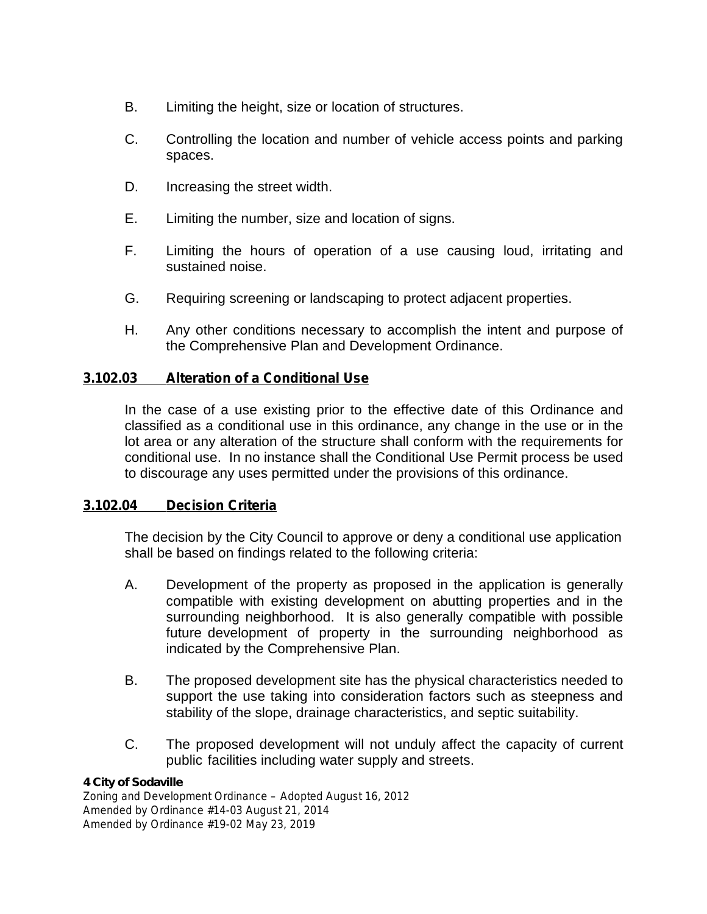- B. Limiting the height, size or location of structures.
- C. Controlling the location and number of vehicle access points and parking spaces.
- D. Increasing the street width.
- E. Limiting the number, size and location of signs.
- F. Limiting the hours of operation of a use causing loud, irritating and sustained noise.
- G. Requiring screening or landscaping to protect adjacent properties.
- H. Any other conditions necessary to accomplish the intent and purpose of the Comprehensive Plan and Development Ordinance.

# **3.102.03 Alteration of a Conditional Use**

In the case of a use existing prior to the effective date of this Ordinance and classified as a conditional use in this ordinance, any change in the use or in the lot area or any alteration of the structure shall conform with the requirements for conditional use. In no instance shall the Conditional Use Permit process be used to discourage any uses permitted under the provisions of this ordinance.

### **3.102.04 Decision Criteria**

The decision by the City Council to approve or deny a conditional use application shall be based on findings related to the following criteria:

- A. Development of the property as proposed in the application is generally compatible with existing development on abutting properties and in the surrounding neighborhood. It is also generally compatible with possible future development of property in the surrounding neighborhood as indicated by the Comprehensive Plan.
- B. The proposed development site has the physical characteristics needed to support the use taking into consideration factors such as steepness and stability of the slope, drainage characteristics, and septic suitability.
- C. The proposed development will not unduly affect the capacity of current public facilities including water supply and streets.

### *4 City of Sodaville*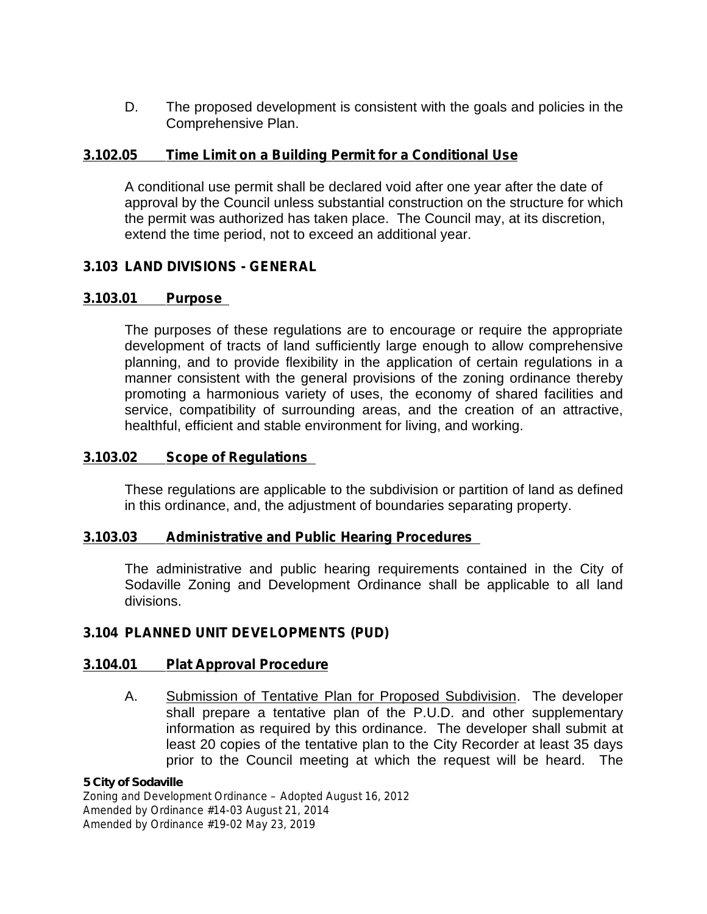D. The proposed development is consistent with the goals and policies in the Comprehensive Plan.

### **3.102.05 Time Limit on a Building Permit for a Conditional Use**

A conditional use permit shall be declared void after one year after the date of approval by the Council unless substantial construction on the structure for which the permit was authorized has taken place. The Council may, at its discretion, extend the time period, not to exceed an additional year.

# **3.103 LAND DIVISIONS - GENERAL**

# **3.103.01 Purpose**

The purposes of these regulations are to encourage or require the appropriate development of tracts of land sufficiently large enough to allow comprehensive planning, and to provide flexibility in the application of certain regulations in a manner consistent with the general provisions of the zoning ordinance thereby promoting a harmonious variety of uses, the economy of shared facilities and service, compatibility of surrounding areas, and the creation of an attractive, healthful, efficient and stable environment for living, and working.

### **3.103.02 Scope of Regulations**

These regulations are applicable to the subdivision or partition of land as defined in this ordinance, and, the adjustment of boundaries separating property.

### **3.103.03 Administrative and Public Hearing Procedures**

The administrative and public hearing requirements contained in the City of Sodaville Zoning and Development Ordinance shall be applicable to all land divisions.

# **3.104 PLANNED UNIT DEVELOPMENTS (PUD)**

### **3.104.01 Plat Approval Procedure**

A. Submission of Tentative Plan for Proposed Subdivision. The developer shall prepare a tentative plan of the P.U.D. and other supplementary information as required by this ordinance. The developer shall submit at least 20 copies of the tentative plan to the City Recorder at least 35 days prior to the Council meeting at which the request will be heard. The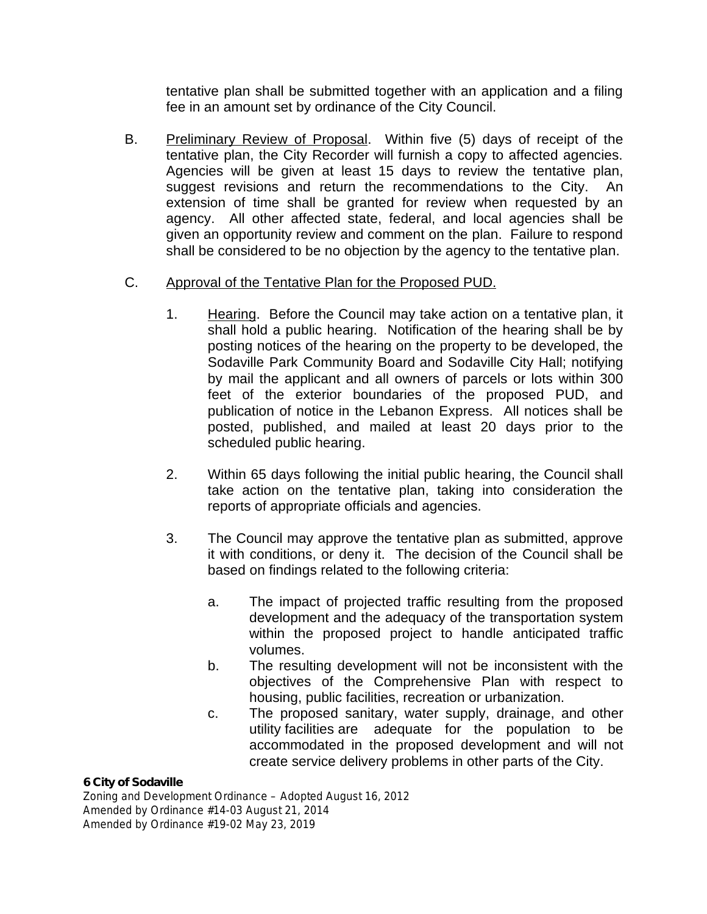tentative plan shall be submitted together with an application and a filing fee in an amount set by ordinance of the City Council.

B. Preliminary Review of Proposal. Within five (5) days of receipt of the tentative plan, the City Recorder will furnish a copy to affected agencies. Agencies will be given at least 15 days to review the tentative plan, suggest revisions and return the recommendations to the City. An extension of time shall be granted for review when requested by an agency. All other affected state, federal, and local agencies shall be given an opportunity review and comment on the plan. Failure to respond shall be considered to be no objection by the agency to the tentative plan.

# C. Approval of the Tentative Plan for the Proposed PUD.

- 1. Hearing. Before the Council may take action on a tentative plan, it shall hold a public hearing. Notification of the hearing shall be by posting notices of the hearing on the property to be developed, the Sodaville Park Community Board and Sodaville City Hall; notifying by mail the applicant and all owners of parcels or lots within 300 feet of the exterior boundaries of the proposed PUD, and publication of notice in the Lebanon Express. All notices shall be posted, published, and mailed at least 20 days prior to the scheduled public hearing.
- 2. Within 65 days following the initial public hearing, the Council shall take action on the tentative plan, taking into consideration the reports of appropriate officials and agencies.
- 3. The Council may approve the tentative plan as submitted, approve it with conditions, or deny it. The decision of the Council shall be based on findings related to the following criteria:
	- a. The impact of projected traffic resulting from the proposed development and the adequacy of the transportation system within the proposed project to handle anticipated traffic volumes.
	- b. The resulting development will not be inconsistent with the objectives of the Comprehensive Plan with respect to housing, public facilities, recreation or urbanization.
	- c. The proposed sanitary, water supply, drainage, and other utility facilities are adequate for the population to be accommodated in the proposed development and will not create service delivery problems in other parts of the City.

### *6 City of Sodaville*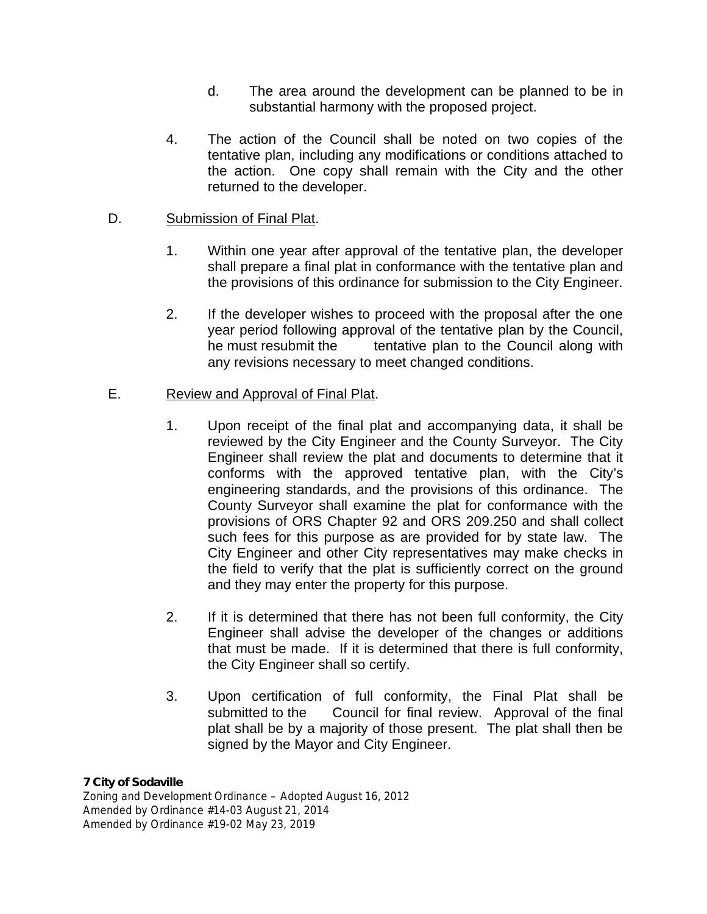- d. The area around the development can be planned to be in substantial harmony with the proposed project.
- 4. The action of the Council shall be noted on two copies of the tentative plan, including any modifications or conditions attached to the action. One copy shall remain with the City and the other returned to the developer.

### D. Submission of Final Plat.

- 1. Within one year after approval of the tentative plan, the developer shall prepare a final plat in conformance with the tentative plan and the provisions of this ordinance for submission to the City Engineer.
- 2. If the developer wishes to proceed with the proposal after the one year period following approval of the tentative plan by the Council, he must resubmit the tentative plan to the Council along with any revisions necessary to meet changed conditions.

# E. Review and Approval of Final Plat.

- 1. Upon receipt of the final plat and accompanying data, it shall be reviewed by the City Engineer and the County Surveyor. The City Engineer shall review the plat and documents to determine that it conforms with the approved tentative plan, with the City's engineering standards, and the provisions of this ordinance. The County Surveyor shall examine the plat for conformance with the provisions of ORS Chapter 92 and ORS 209.250 and shall collect such fees for this purpose as are provided for by state law. The City Engineer and other City representatives may make checks in the field to verify that the plat is sufficiently correct on the ground and they may enter the property for this purpose.
- 2. If it is determined that there has not been full conformity, the City Engineer shall advise the developer of the changes or additions that must be made. If it is determined that there is full conformity, the City Engineer shall so certify.
- 3. Upon certification of full conformity, the Final Plat shall be submitted to the Council for final review. Approval of the final plat shall be by a majority of those present. The plat shall then be signed by the Mayor and City Engineer.

### *7 City of Sodaville*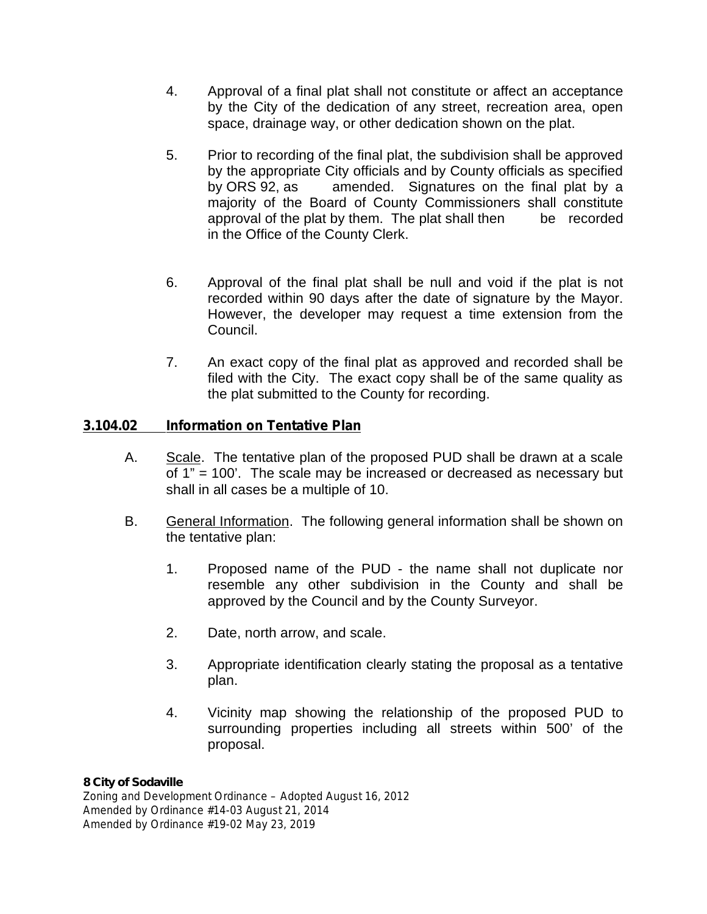- 4. Approval of a final plat shall not constitute or affect an acceptance by the City of the dedication of any street, recreation area, open space, drainage way, or other dedication shown on the plat.
- 5. Prior to recording of the final plat, the subdivision shall be approved by the appropriate City officials and by County officials as specified by ORS 92, as amended. Signatures on the final plat by a majority of the Board of County Commissioners shall constitute approval of the plat by them. The plat shall then be recorded in the Office of the County Clerk.
- 6. Approval of the final plat shall be null and void if the plat is not recorded within 90 days after the date of signature by the Mayor. However, the developer may request a time extension from the Council.
- 7. An exact copy of the final plat as approved and recorded shall be filed with the City. The exact copy shall be of the same quality as the plat submitted to the County for recording.

# **3.104.02 Information on Tentative Plan**

- A. Scale. The tentative plan of the proposed PUD shall be drawn at a scale of 1" = 100'. The scale may be increased or decreased as necessary but shall in all cases be a multiple of 10.
- B. General Information. The following general information shall be shown on the tentative plan:
	- 1. Proposed name of the PUD the name shall not duplicate nor resemble any other subdivision in the County and shall be approved by the Council and by the County Surveyor.
	- 2. Date, north arrow, and scale.
	- 3. Appropriate identification clearly stating the proposal as a tentative plan.
	- 4. Vicinity map showing the relationship of the proposed PUD to surrounding properties including all streets within 500' of the proposal.

### *8 City of Sodaville*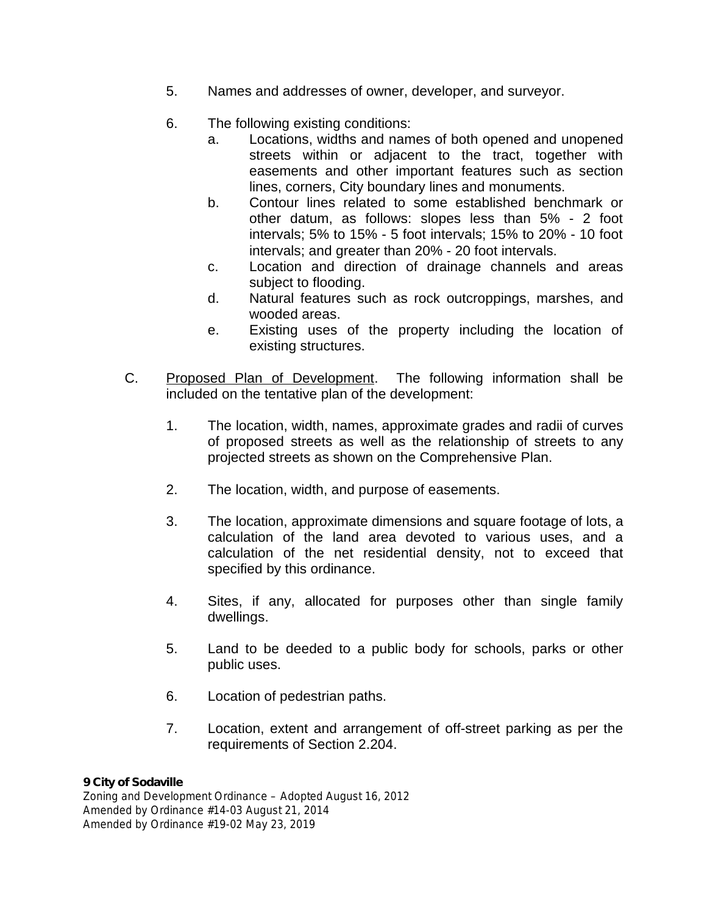- 5. Names and addresses of owner, developer, and surveyor.
- 6. The following existing conditions:
	- a. Locations, widths and names of both opened and unopened streets within or adjacent to the tract, together with easements and other important features such as section lines, corners, City boundary lines and monuments.
	- b. Contour lines related to some established benchmark or other datum, as follows: slopes less than 5% - 2 foot intervals; 5% to 15% - 5 foot intervals; 15% to 20% - 10 foot intervals; and greater than 20% - 20 foot intervals.
	- c. Location and direction of drainage channels and areas subject to flooding.
	- d. Natural features such as rock outcroppings, marshes, and wooded areas.
	- e. Existing uses of the property including the location of existing structures.
- C. Proposed Plan of Development. The following information shall be included on the tentative plan of the development:
	- 1. The location, width, names, approximate grades and radii of curves of proposed streets as well as the relationship of streets to any projected streets as shown on the Comprehensive Plan.
	- 2. The location, width, and purpose of easements.
	- 3. The location, approximate dimensions and square footage of lots, a calculation of the land area devoted to various uses, and a calculation of the net residential density, not to exceed that specified by this ordinance.
	- 4. Sites, if any, allocated for purposes other than single family dwellings.
	- 5. Land to be deeded to a public body for schools, parks or other public uses.
	- 6. Location of pedestrian paths.
	- 7. Location, extent and arrangement of off-street parking as per the requirements of Section 2.204.

### *9 City of Sodaville*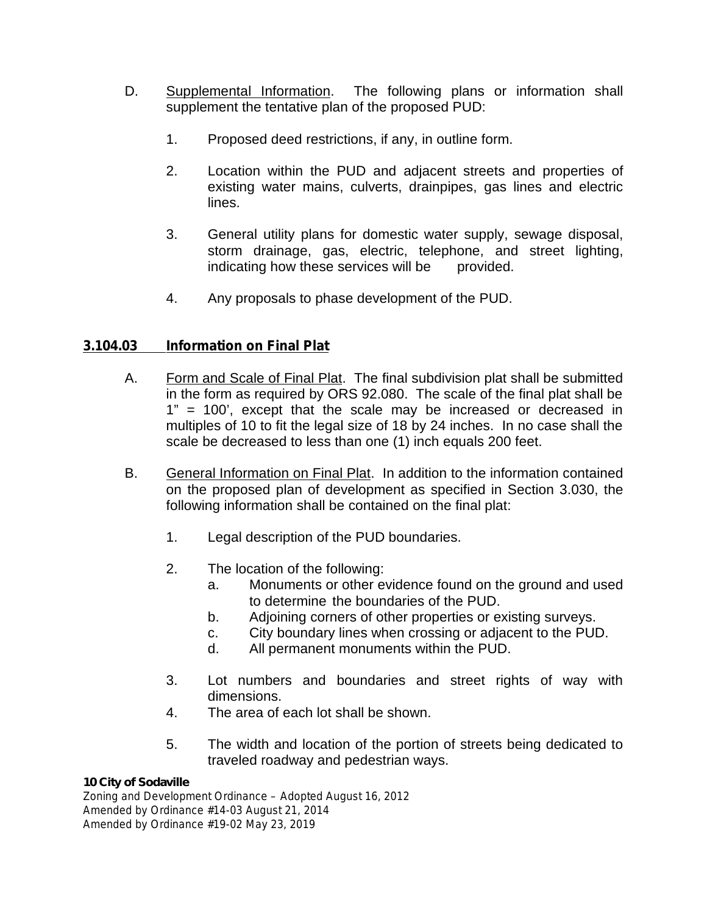- D. Supplemental Information. The following plans or information shall supplement the tentative plan of the proposed PUD:
	- 1. Proposed deed restrictions, if any, in outline form.
	- 2. Location within the PUD and adjacent streets and properties of existing water mains, culverts, drainpipes, gas lines and electric lines.
	- 3. General utility plans for domestic water supply, sewage disposal, storm drainage, gas, electric, telephone, and street lighting, indicating how these services will be provided.
	- 4. Any proposals to phase development of the PUD.

# **3.104.03 Information on Final Plat**

- A. Form and Scale of Final Plat. The final subdivision plat shall be submitted in the form as required by ORS 92.080. The scale of the final plat shall be 1" = 100', except that the scale may be increased or decreased in multiples of 10 to fit the legal size of 18 by 24 inches. In no case shall the scale be decreased to less than one (1) inch equals 200 feet.
- B. General Information on Final Plat. In addition to the information contained on the proposed plan of development as specified in Section 3.030, the following information shall be contained on the final plat:
	- 1. Legal description of the PUD boundaries.
	- 2. The location of the following:
		- a. Monuments or other evidence found on the ground and used to determine the boundaries of the PUD.
		- b. Adjoining corners of other properties or existing surveys.
		- c. City boundary lines when crossing or adjacent to the PUD.
		- d. All permanent monuments within the PUD.
	- 3. Lot numbers and boundaries and street rights of way with dimensions.
	- 4. The area of each lot shall be shown.
	- 5. The width and location of the portion of streets being dedicated to traveled roadway and pedestrian ways.

### *10 City of Sodaville*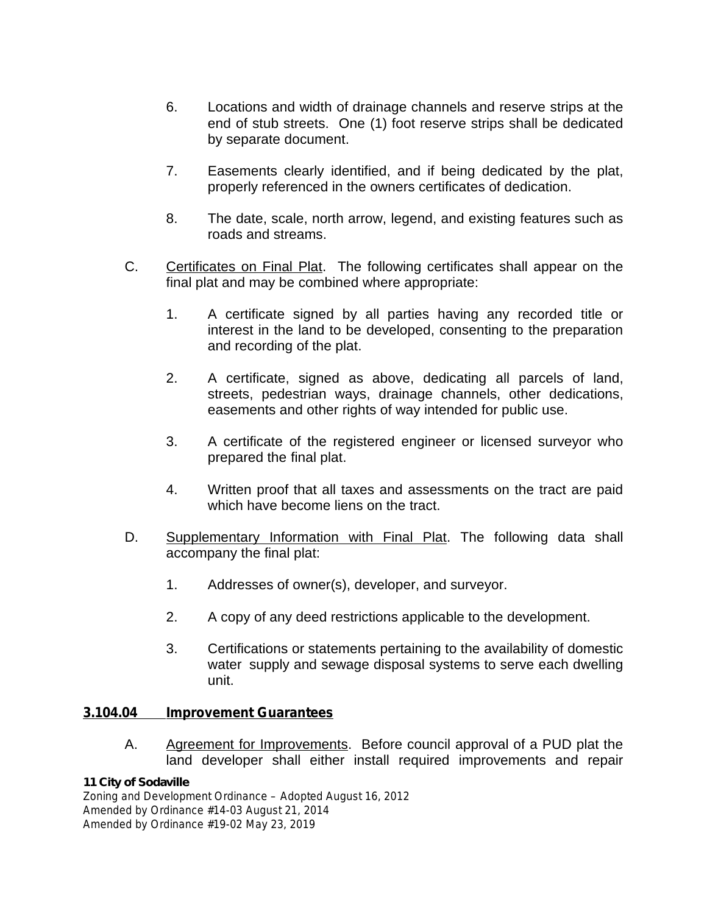- 6. Locations and width of drainage channels and reserve strips at the end of stub streets. One (1) foot reserve strips shall be dedicated by separate document.
- 7. Easements clearly identified, and if being dedicated by the plat, properly referenced in the owners certificates of dedication.
- 8. The date, scale, north arrow, legend, and existing features such as roads and streams.
- C. Certificates on Final Plat. The following certificates shall appear on the final plat and may be combined where appropriate:
	- 1. A certificate signed by all parties having any recorded title or interest in the land to be developed, consenting to the preparation and recording of the plat.
	- 2. A certificate, signed as above, dedicating all parcels of land, streets, pedestrian ways, drainage channels, other dedications, easements and other rights of way intended for public use.
	- 3. A certificate of the registered engineer or licensed surveyor who prepared the final plat.
	- 4. Written proof that all taxes and assessments on the tract are paid which have become liens on the tract.
- D. Supplementary Information with Final Plat. The following data shall accompany the final plat:
	- 1. Addresses of owner(s), developer, and surveyor.
	- 2. A copy of any deed restrictions applicable to the development.
	- 3. Certifications or statements pertaining to the availability of domestic water supply and sewage disposal systems to serve each dwelling unit.

### **3.104.04 Improvement Guarantees**

A. Agreement for Improvements. Before council approval of a PUD plat the land developer shall either install required improvements and repair

### *11 City of Sodaville*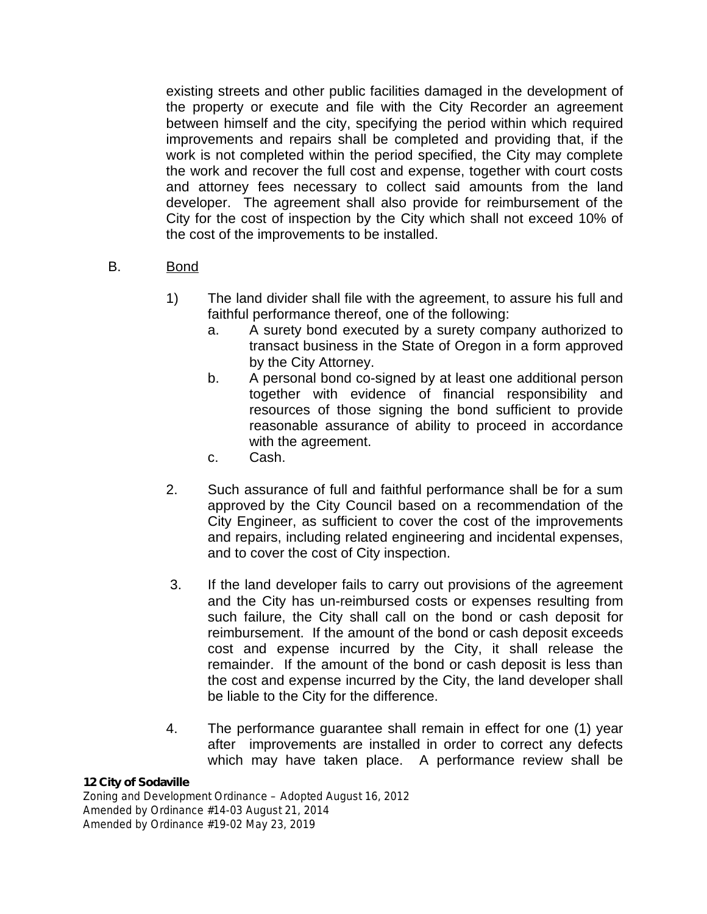existing streets and other public facilities damaged in the development of the property or execute and file with the City Recorder an agreement between himself and the city, specifying the period within which required improvements and repairs shall be completed and providing that, if the work is not completed within the period specified, the City may complete the work and recover the full cost and expense, together with court costs and attorney fees necessary to collect said amounts from the land developer. The agreement shall also provide for reimbursement of the City for the cost of inspection by the City which shall not exceed 10% of the cost of the improvements to be installed.

# B. Bond

- 1) The land divider shall file with the agreement, to assure his full and faithful performance thereof, one of the following:
	- a. A surety bond executed by a surety company authorized to transact business in the State of Oregon in a form approved by the City Attorney.
	- b. A personal bond co-signed by at least one additional person together with evidence of financial responsibility and resources of those signing the bond sufficient to provide reasonable assurance of ability to proceed in accordance with the agreement.
	- c. Cash.
- 2. Such assurance of full and faithful performance shall be for a sum approved by the City Council based on a recommendation of the City Engineer, as sufficient to cover the cost of the improvements and repairs, including related engineering and incidental expenses, and to cover the cost of City inspection.
- 3. If the land developer fails to carry out provisions of the agreement and the City has un-reimbursed costs or expenses resulting from such failure, the City shall call on the bond or cash deposit for reimbursement. If the amount of the bond or cash deposit exceeds cost and expense incurred by the City, it shall release the remainder. If the amount of the bond or cash deposit is less than the cost and expense incurred by the City, the land developer shall be liable to the City for the difference.
- 4. The performance guarantee shall remain in effect for one (1) year after improvements are installed in order to correct any defects which may have taken place. A performance review shall be

### *12 City of Sodaville*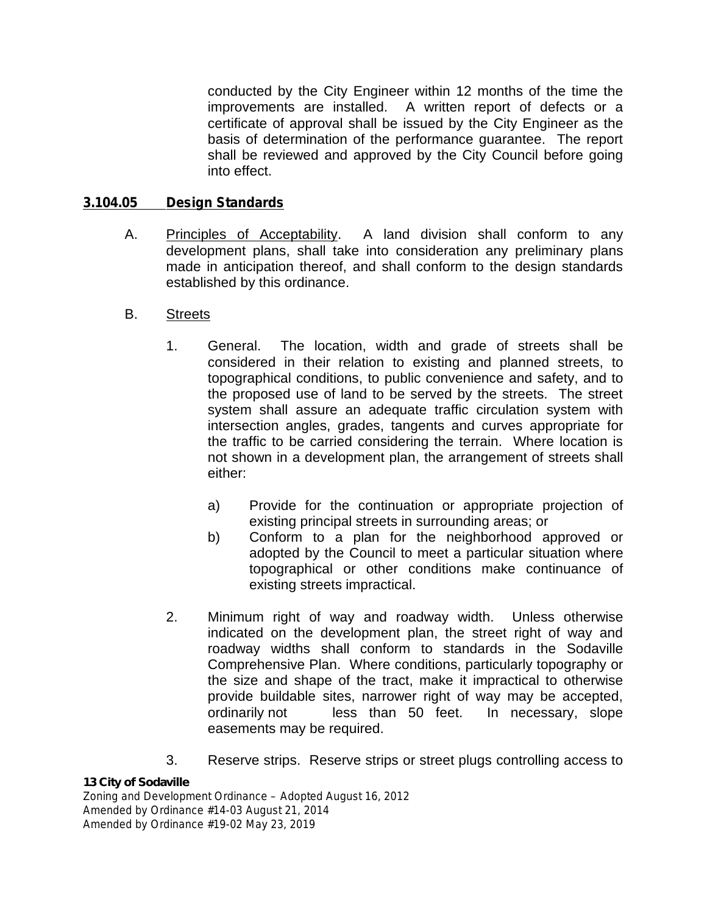conducted by the City Engineer within 12 months of the time the improvements are installed. A written report of defects or a certificate of approval shall be issued by the City Engineer as the basis of determination of the performance guarantee. The report shall be reviewed and approved by the City Council before going into effect.

### **3.104.05 Design Standards**

- A. Principles of Acceptability. A land division shall conform to any development plans, shall take into consideration any preliminary plans made in anticipation thereof, and shall conform to the design standards established by this ordinance.
- B. Streets
	- 1. General. The location, width and grade of streets shall be considered in their relation to existing and planned streets, to topographical conditions, to public convenience and safety, and to the proposed use of land to be served by the streets. The street system shall assure an adequate traffic circulation system with intersection angles, grades, tangents and curves appropriate for the traffic to be carried considering the terrain. Where location is not shown in a development plan, the arrangement of streets shall either:
		- a) Provide for the continuation or appropriate projection of existing principal streets in surrounding areas; or
		- b) Conform to a plan for the neighborhood approved or adopted by the Council to meet a particular situation where topographical or other conditions make continuance of existing streets impractical.
	- 2. Minimum right of way and roadway width. Unless otherwise indicated on the development plan, the street right of way and roadway widths shall conform to standards in the Sodaville Comprehensive Plan. Where conditions, particularly topography or the size and shape of the tract, make it impractical to otherwise provide buildable sites, narrower right of way may be accepted, ordinarily not less than 50 feet. In necessary, slope easements may be required.
	- 3. Reserve strips. Reserve strips or street plugs controlling access to

### *13 City of Sodaville*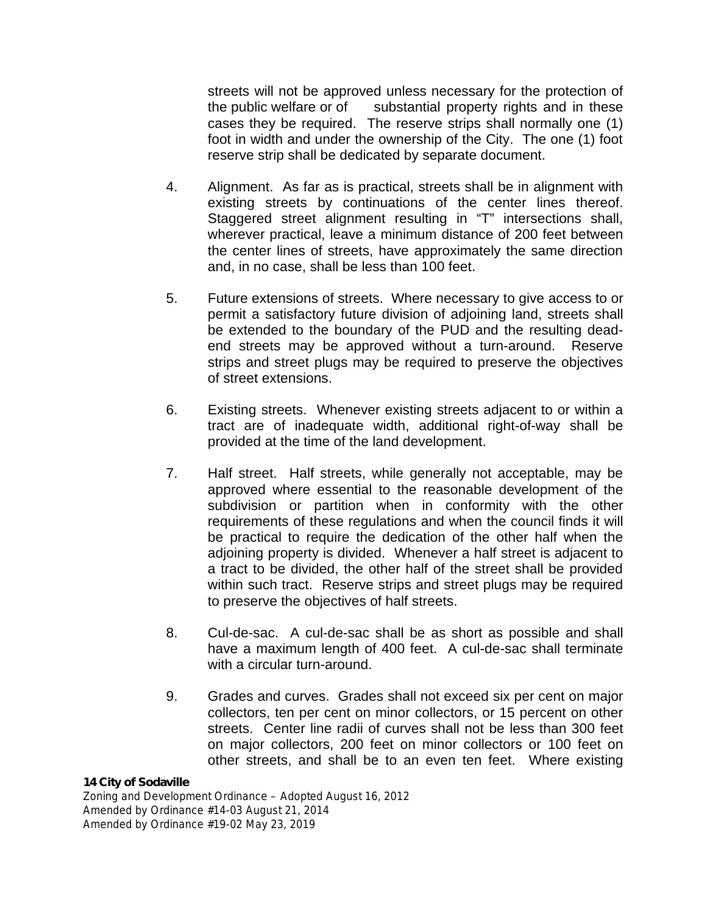streets will not be approved unless necessary for the protection of the public welfare or of substantial property rights and in these cases they be required. The reserve strips shall normally one (1) foot in width and under the ownership of the City. The one (1) foot reserve strip shall be dedicated by separate document.

- 4. Alignment. As far as is practical, streets shall be in alignment with existing streets by continuations of the center lines thereof. Staggered street alignment resulting in "T" intersections shall, wherever practical, leave a minimum distance of 200 feet between the center lines of streets, have approximately the same direction and, in no case, shall be less than 100 feet.
- 5. Future extensions of streets. Where necessary to give access to or permit a satisfactory future division of adjoining land, streets shall be extended to the boundary of the PUD and the resulting dead end streets may be approved without a turn-around. Reserve strips and street plugs may be required to preserve the objectives of street extensions.
- 6. Existing streets. Whenever existing streets adjacent to or within a tract are of inadequate width, additional right-of-way shall be provided at the time of the land development.
- 7. Half street. Half streets, while generally not acceptable, may be approved where essential to the reasonable development of the subdivision or partition when in conformity with the other requirements of these regulations and when the council finds it will be practical to require the dedication of the other half when the adjoining property is divided. Whenever a half street is adjacent to a tract to be divided, the other half of the street shall be provided within such tract. Reserve strips and street plugs may be required to preserve the objectives of half streets.
- 8. Cul-de-sac. A cul-de-sac shall be as short as possible and shall have a maximum length of 400 feet. A cul-de-sac shall terminate with a circular turn-around.
- 9. Grades and curves. Grades shall not exceed six per cent on major collectors, ten per cent on minor collectors, or 15 percent on other streets. Center line radii of curves shall not be less than 300 feet on major collectors, 200 feet on minor collectors or 100 feet on other streets, and shall be to an even ten feet. Where existing

#### *14 City of Sodaville*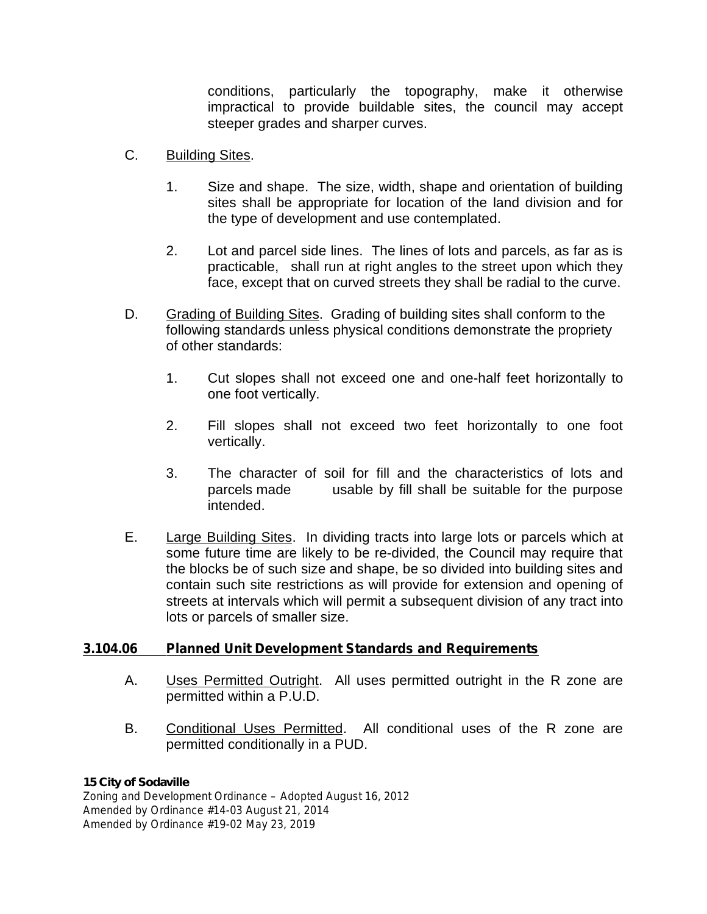conditions, particularly the topography, make it otherwise impractical to provide buildable sites, the council may accept steeper grades and sharper curves.

- C. Building Sites.
	- 1. Size and shape. The size, width, shape and orientation of building sites shall be appropriate for location of the land division and for the type of development and use contemplated.
	- 2. Lot and parcel side lines. The lines of lots and parcels, as far as is practicable, shall run at right angles to the street upon which they face, except that on curved streets they shall be radial to the curve.
- D. Grading of Building Sites. Grading of building sites shall conform to the following standards unless physical conditions demonstrate the propriety of other standards:
	- 1. Cut slopes shall not exceed one and one-half feet horizontally to one foot vertically.
	- 2. Fill slopes shall not exceed two feet horizontally to one foot vertically.
	- 3. The character of soil for fill and the characteristics of lots and parcels made usable by fill shall be suitable for the purpose intended.
- E. Large Building Sites. In dividing tracts into large lots or parcels which at some future time are likely to be re-divided, the Council may require that the blocks be of such size and shape, be so divided into building sites and contain such site restrictions as will provide for extension and opening of streets at intervals which will permit a subsequent division of any tract into lots or parcels of smaller size.

### **3.104.06 Planned Unit Development Standards and Requirements**

- A. Uses Permitted Outright. All uses permitted outright in the R zone are permitted within a P.U.D.
- B. Conditional Uses Permitted. All conditional uses of the R zone are permitted conditionally in a PUD.

### *15 City of Sodaville*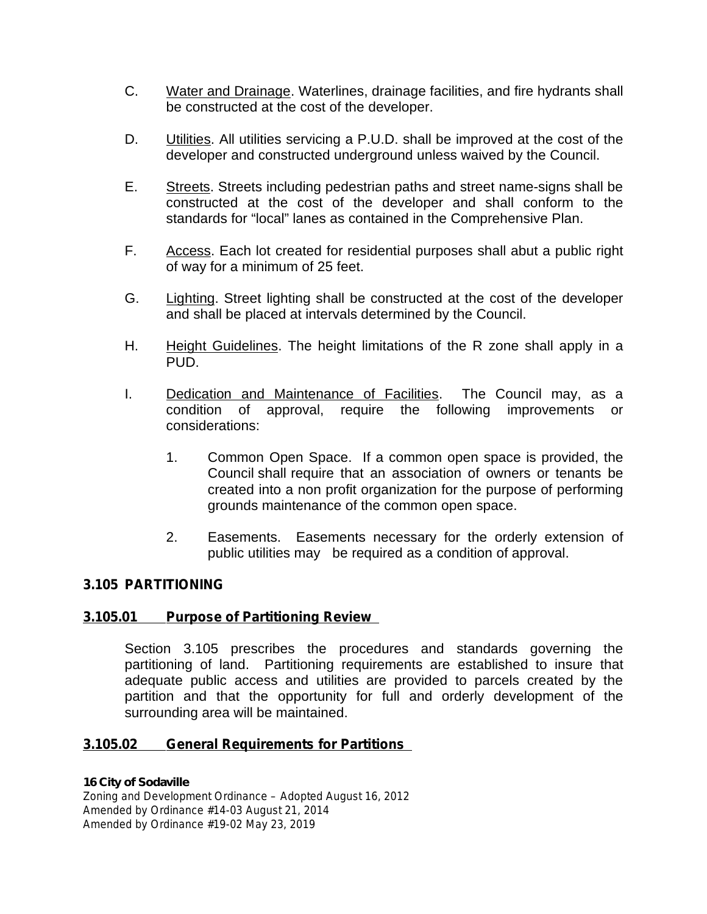- C. Water and Drainage. Waterlines, drainage facilities, and fire hydrants shall be constructed at the cost of the developer.
- D. **Utilities.** All utilities servicing a P.U.D. shall be improved at the cost of the developer and constructed underground unless waived by the Council.
- E. Streets. Streets including pedestrian paths and street name-signs shall be constructed at the cost of the developer and shall conform to the standards for "local" lanes as contained in the Comprehensive Plan.
- F. Access. Each lot created for residential purposes shall abut a public right of way for a minimum of 25 feet.
- G. Lighting. Street lighting shall be constructed at the cost of the developer and shall be placed at intervals determined by the Council.
- H. Height Guidelines. The height limitations of the R zone shall apply in a PUD.
- I. Dedication and Maintenance of Facilities. The Council may, as a condition of approval, require the following improvements or considerations:
	- 1. Common Open Space. If a common open space is provided, the Council shall require that an association of owners or tenants be created into a non profit organization for the purpose of performing grounds maintenance of the common open space.
	- 2. Easements. Easements necessary for the orderly extension of public utilities may be required as a condition of approval.

### **3.105 PARTITIONING**

### **3.105.01 Purpose of Partitioning Review**

Section 3.105 prescribes the procedures and standards governing the partitioning of land. Partitioning requirements are established to insure that adequate public access and utilities are provided to parcels created by the partition and that the opportunity for full and orderly development of the surrounding area will be maintained.

### **3.105.02 General Requirements for Partitions**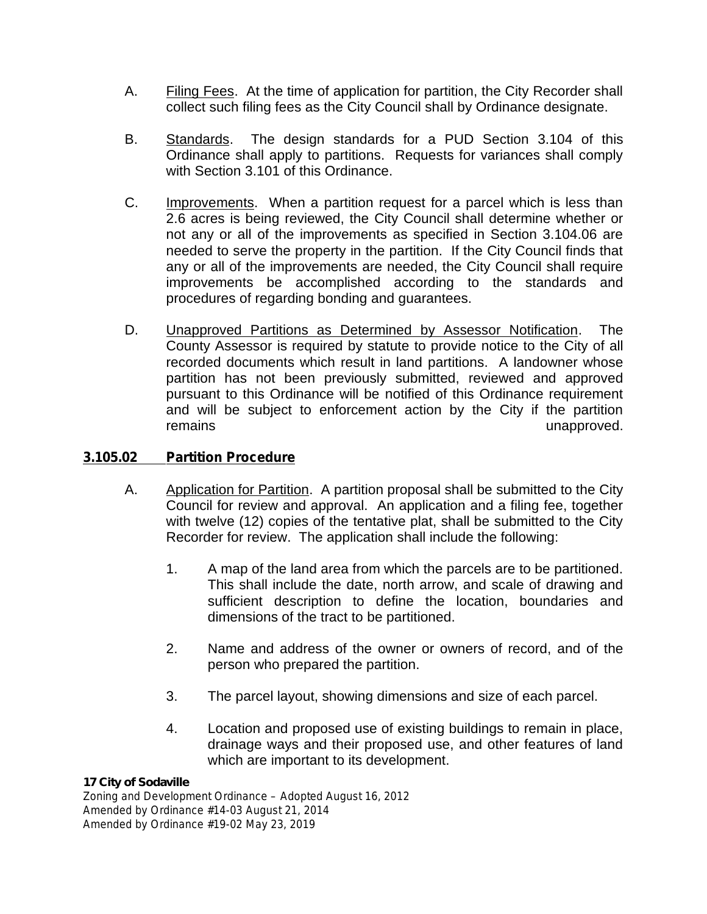- A. Filing Fees. At the time of application for partition, the City Recorder shall collect such filing fees as the City Council shall by Ordinance designate.
- B. Standards. The design standards for a PUD Section 3.104 of this Ordinance shall apply to partitions. Requests for variances shall comply with Section 3.101 of this Ordinance.
- C. Improvements. When a partition request for a parcel which is less than 2.6 acres is being reviewed, the City Council shall determine whether or not any or all of the improvements as specified in Section 3.104.06 are needed to serve the property in the partition. If the City Council finds that any or all of the improvements are needed, the City Council shall require improvements be accomplished according to the standards and procedures of regarding bonding and guarantees.
- D. Unapproved Partitions as Determined by Assessor Notification. The County Assessor is required by statute to provide notice to the City of all recorded documents which result in land partitions. A landowner whose partition has not been previously submitted, reviewed and approved pursuant to this Ordinance will be notified of this Ordinance requirement and will be subject to enforcement action by the City if the partition remains **unapproved**.

### **3.105.02 Partition Procedure**

- A. Application for Partition. A partition proposal shall be submitted to the City Council for review and approval. An application and a filing fee, together with twelve (12) copies of the tentative plat, shall be submitted to the City Recorder for review. The application shall include the following:
	- 1. A map of the land area from which the parcels are to be partitioned. This shall include the date, north arrow, and scale of drawing and sufficient description to define the location, boundaries and dimensions of the tract to be partitioned.
	- 2. Name and address of the owner or owners of record, and of the person who prepared the partition.
	- 3. The parcel layout, showing dimensions and size of each parcel.
	- 4. Location and proposed use of existing buildings to remain in place, drainage ways and their proposed use, and other features of land which are important to its development.

#### *17 City of Sodaville*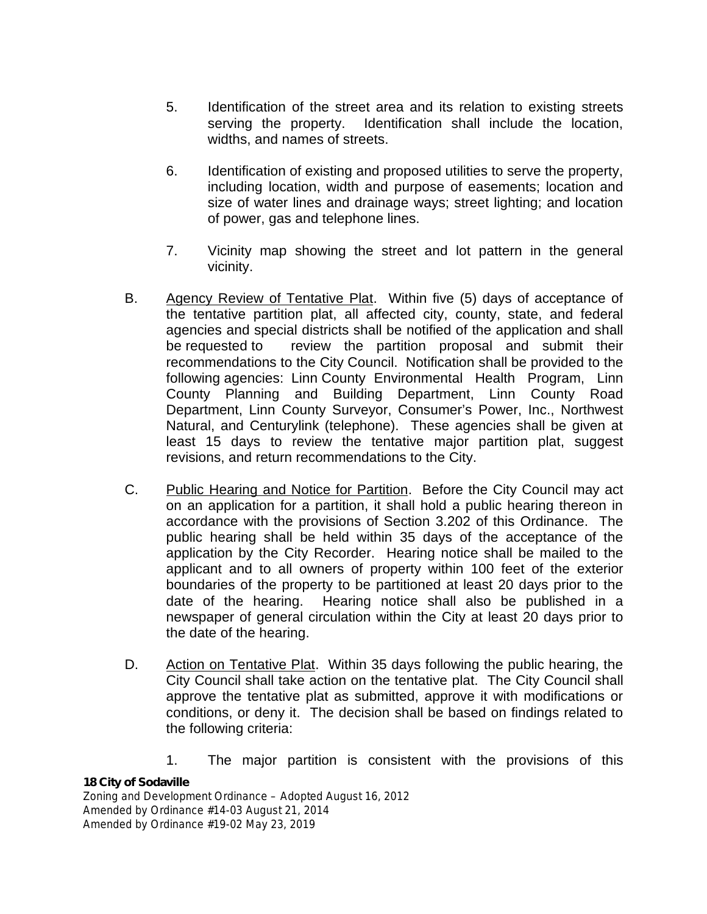- 5. Identification of the street area and its relation to existing streets serving the property. Identification shall include the location, widths, and names of streets.
- 6. Identification of existing and proposed utilities to serve the property, including location, width and purpose of easements; location and size of water lines and drainage ways; street lighting; and location of power, gas and telephone lines.
- 7. Vicinity map showing the street and lot pattern in the general vicinity.
- B. Agency Review of Tentative Plat. Within five (5) days of acceptance of the tentative partition plat, all affected city, county, state, and federal agencies and special districts shall be notified of the application and shall be requested to review the partition proposal and submit their recommendations to the City Council. Notification shall be provided to the following agencies: Linn County Environmental Health Program, Linn County Planning and Building Department, Linn County Road Department, Linn County Surveyor, Consumer's Power, Inc., Northwest Natural, and Centurylink (telephone). These agencies shall be given at least 15 days to review the tentative major partition plat, suggest revisions, and return recommendations to the City.
- C. Public Hearing and Notice for Partition. Before the City Council may act on an application for a partition, it shall hold a public hearing thereon in accordance with the provisions of Section 3.202 of this Ordinance. The public hearing shall be held within 35 days of the acceptance of the application by the City Recorder. Hearing notice shall be mailed to the applicant and to all owners of property within 100 feet of the exterior boundaries of the property to be partitioned at least 20 days prior to the date of the hearing. Hearing notice shall also be published in a newspaper of general circulation within the City at least 20 days prior to the date of the hearing.
- D. Action on Tentative Plat. Within 35 days following the public hearing, the City Council shall take action on the tentative plat. The City Council shall approve the tentative plat as submitted, approve it with modifications or conditions, or deny it. The decision shall be based on findings related to the following criteria:
	- 1. The major partition is consistent with the provisions of this

### *18 City of Sodaville*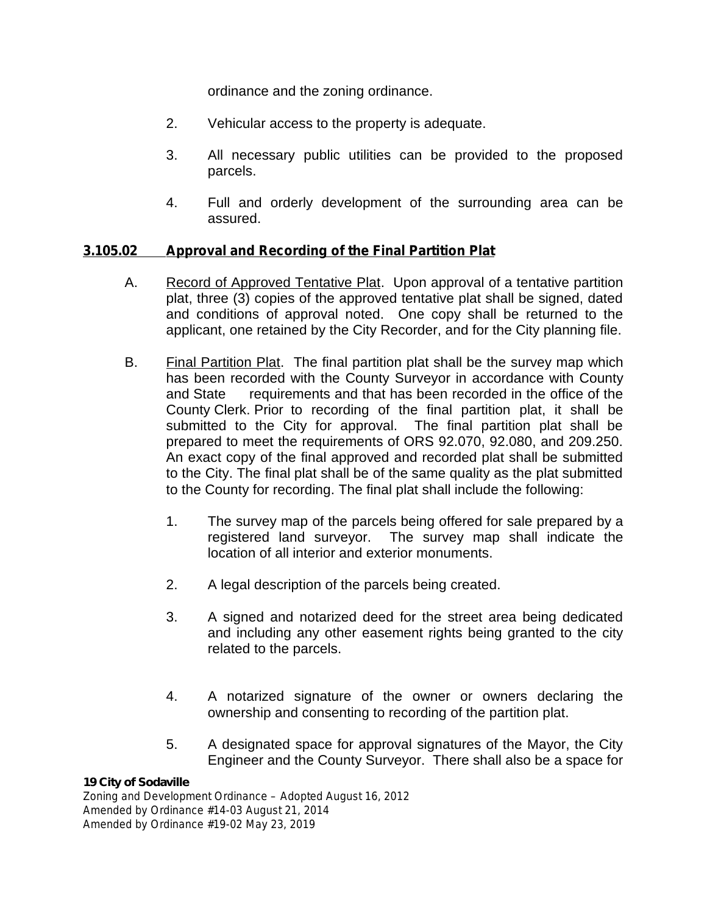ordinance and the zoning ordinance.

- 2. Vehicular access to the property is adequate.
- 3. All necessary public utilities can be provided to the proposed parcels.
- 4. Full and orderly development of the surrounding area can be assured.

# **3.105.02 Approval and Recording of the Final Partition Plat**

- A. Record of Approved Tentative Plat. Upon approval of a tentative partition plat, three (3) copies of the approved tentative plat shall be signed, dated and conditions of approval noted. One copy shall be returned to the applicant, one retained by the City Recorder, and for the City planning file.
- B. Final Partition Plat. The final partition plat shall be the survey map which has been recorded with the County Surveyor in accordance with County and State requirements and that has been recorded in the office of the County Clerk. Prior to recording of the final partition plat, it shall be submitted to the City for approval. The final partition plat shall be prepared to meet the requirements of ORS 92.070, 92.080, and 209.250. An exact copy of the final approved and recorded plat shall be submitted to the City. The final plat shall be of the same quality as the plat submitted to the County for recording. The final plat shall include the following:
	- 1. The survey map of the parcels being offered for sale prepared by a registered land surveyor. The survey map shall indicate the location of all interior and exterior monuments.
	- 2. A legal description of the parcels being created.
	- 3. A signed and notarized deed for the street area being dedicated and including any other easement rights being granted to the city related to the parcels.
	- 4. A notarized signature of the owner or owners declaring the ownership and consenting to recording of the partition plat.
	- 5. A designated space for approval signatures of the Mayor, the City Engineer and the County Surveyor. There shall also be a space for

### *19 City of Sodaville*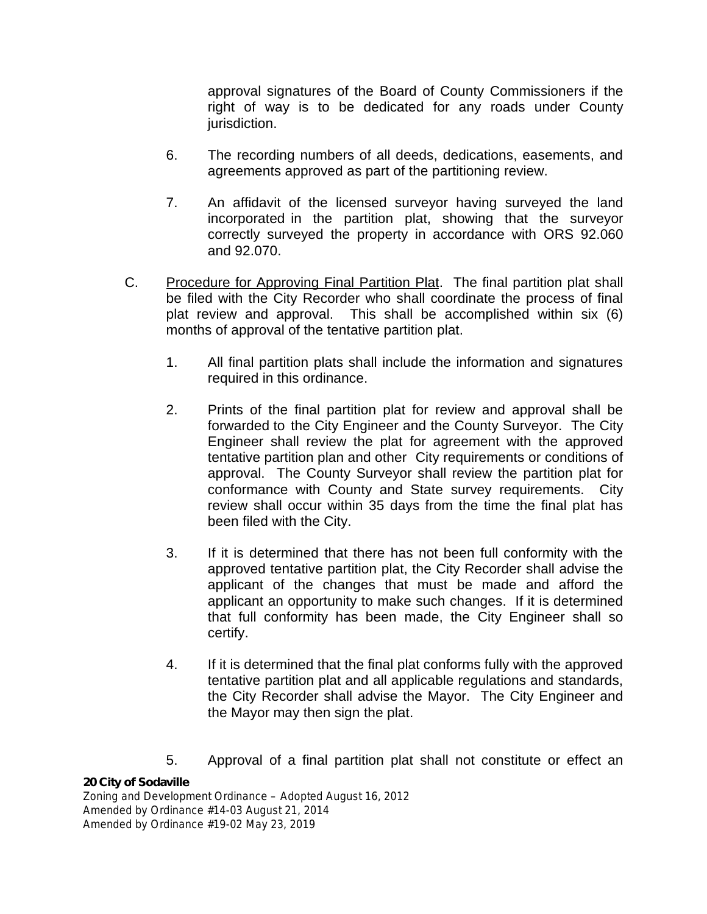approval signatures of the Board of County Commissioners if the right of way is to be dedicated for any roads under County jurisdiction.

- 6. The recording numbers of all deeds, dedications, easements, and agreements approved as part of the partitioning review.
- 7. An affidavit of the licensed surveyor having surveyed the land incorporated in the partition plat, showing that the surveyor correctly surveyed the property in accordance with ORS 92.060 and 92.070.
- C. Procedure for Approving Final Partition Plat. The final partition plat shall be filed with the City Recorder who shall coordinate the process of final plat review and approval. This shall be accomplished within six (6) months of approval of the tentative partition plat.
	- 1. All final partition plats shall include the information and signatures required in this ordinance.
	- 2. Prints of the final partition plat for review and approval shall be forwarded to the City Engineer and the County Surveyor. The City Engineer shall review the plat for agreement with the approved tentative partition plan and other City requirements or conditions of approval. The County Surveyor shall review the partition plat for conformance with County and State survey requirements. City review shall occur within 35 days from the time the final plat has been filed with the City.
	- 3. If it is determined that there has not been full conformity with the approved tentative partition plat, the City Recorder shall advise the applicant of the changes that must be made and afford the applicant an opportunity to make such changes. If it is determined that full conformity has been made, the City Engineer shall so certify.
	- 4. If it is determined that the final plat conforms fully with the approved tentative partition plat and all applicable regulations and standards, the City Recorder shall advise the Mayor. The City Engineer and the Mayor may then sign the plat.
	- 5. Approval of a final partition plat shall not constitute or effect an

### *20 City of Sodaville*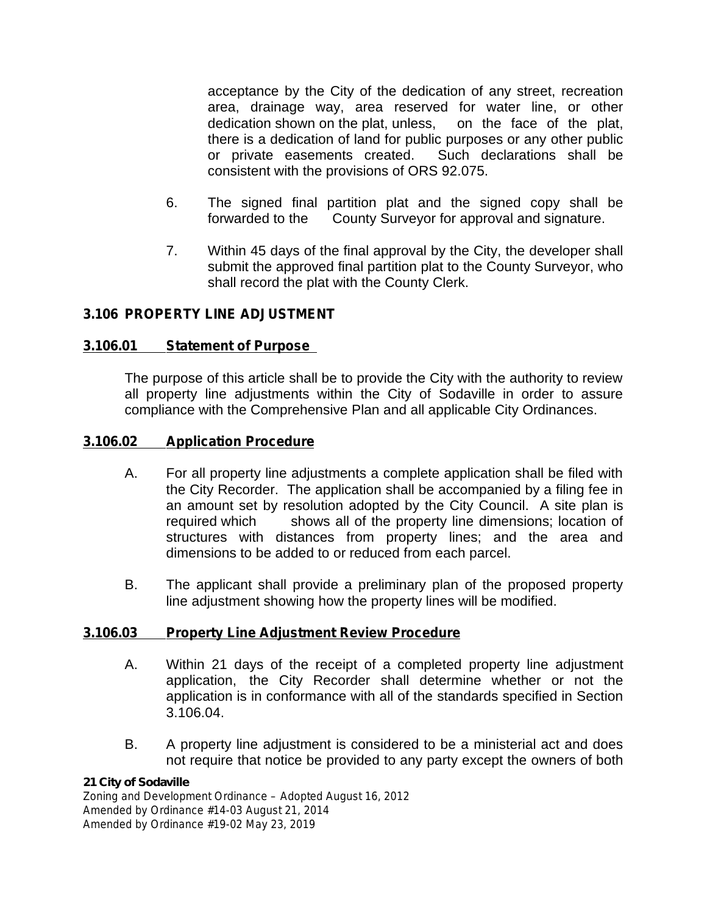acceptance by the City of the dedication of any street, recreation area, drainage way, area reserved for water line, or other dedication shown on the plat, unless, on the face of the plat, there is a dedication of land for public purposes or any other public or private easements created. Such declarations shall be consistent with the provisions of ORS 92.075.

- 6. The signed final partition plat and the signed copy shall be forwarded to the County Surveyor for approval and signature.
- 7. Within 45 days of the final approval by the City, the developer shall submit the approved final partition plat to the County Surveyor, who shall record the plat with the County Clerk.

# **3.106 PROPERTY LINE ADJUSTMENT**

### **3.106.01 Statement of Purpose**

The purpose of this article shall be to provide the City with the authority to review all property line adjustments within the City of Sodaville in order to assure compliance with the Comprehensive Plan and all applicable City Ordinances.

### **3.106.02 Application Procedure**

- A. For all property line adjustments a complete application shall be filed with the City Recorder. The application shall be accompanied by a filing fee in an amount set by resolution adopted by the City Council. A site plan is required which shows all of the property line dimensions; location of structures with distances from property lines; and the area and dimensions to be added to or reduced from each parcel.
- B. The applicant shall provide a preliminary plan of the proposed property line adjustment showing how the property lines will be modified.

### **3.106.03 Property Line Adjustment Review Procedure**

- A. Within 21 days of the receipt of a completed property line adjustment application, the City Recorder shall determine whether or not the application is in conformance with all of the standards specified in Section 3.106.04.
- B. A property line adjustment is considered to be a ministerial act and does not require that notice be provided to any party except the owners of both

### *21 City of Sodaville*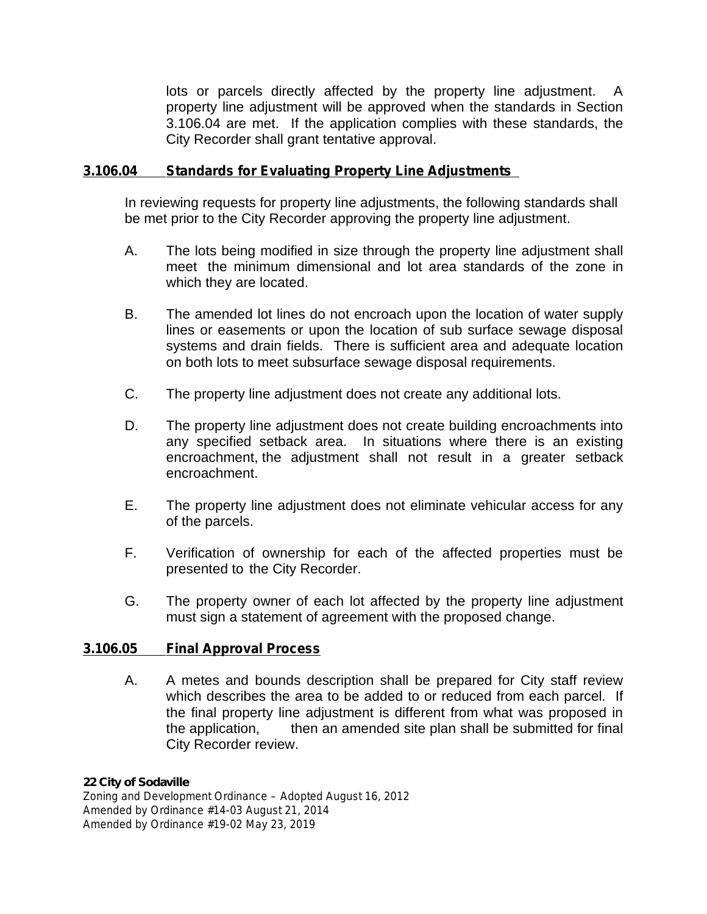lots or parcels directly affected by the property line adjustment. property line adjustment will be approved when the standards in Section 3.106.04 are met. If the application complies with these standards, the City Recorder shall grant tentative approval.

### **3.106.04 Standards for Evaluating Property Line Adjustments**

In reviewing requests for property line adjustments, the following standards shall be met prior to the City Recorder approving the property line adjustment.

- A. The lots being modified in size through the property line adjustment shall meet the minimum dimensional and lot area standards of the zone in which they are located.
- B. The amended lot lines do not encroach upon the location of water supply lines or easements or upon the location of sub surface sewage disposal systems and drain fields. There is sufficient area and adequate location on both lots to meet subsurface sewage disposal requirements.
- C. The property line adjustment does not create any additional lots.
- D. The property line adjustment does not create building encroachments into any specified setback area. In situations where there is an existing encroachment, the adjustment shall not result in a greater setback encroachment.
- E. The property line adjustment does not eliminate vehicular access for any of the parcels.
- F. Verification of ownership for each of the affected properties must be presented to the City Recorder.
- G. The property owner of each lot affected by the property line adjustment must sign a statement of agreement with the proposed change.

### **3.106.05 Final Approval Process**

A. A metes and bounds description shall be prepared for City staff review which describes the area to be added to or reduced from each parcel. If the final property line adjustment is different from what was proposed in the application, then an amended site plan shall be submitted for final City Recorder review.

#### *22 City of Sodaville*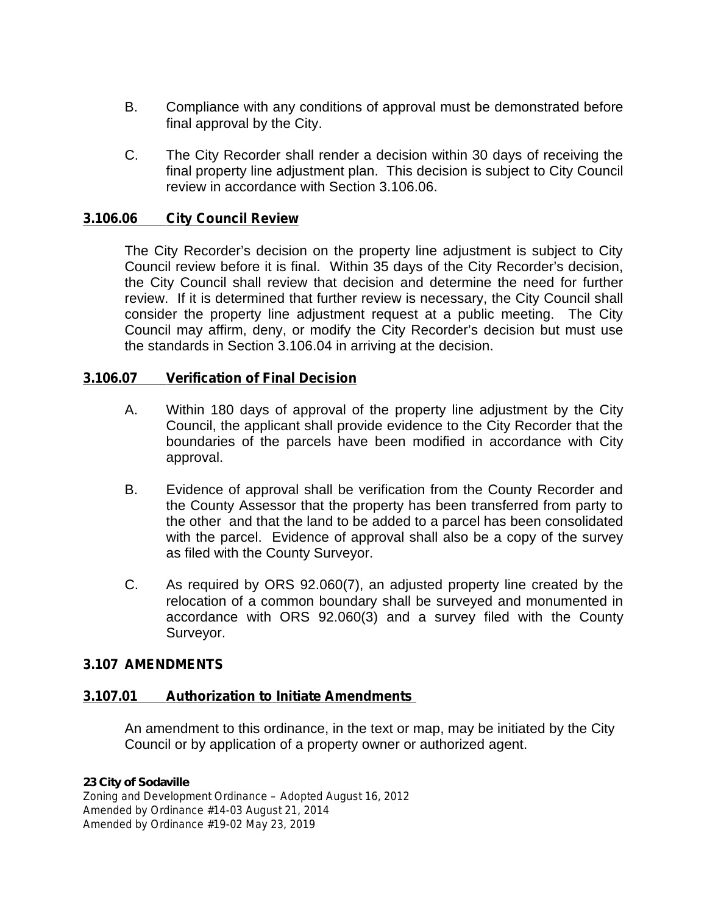- B. Compliance with any conditions of approval must be demonstrated before final approval by the City.
- C. The City Recorder shall render a decision within 30 days of receiving the final property line adjustment plan. This decision is subject to City Council review in accordance with Section 3.106.06.

### **3.106.06 City Council Review**

The City Recorder's decision on the property line adjustment is subject to City Council review before it is final. Within 35 days of the City Recorder's decision, the City Council shall review that decision and determine the need for further review. If it is determined that further review is necessary, the City Council shall consider the property line adjustment request at a public meeting. The City Council may affirm, deny, or modify the City Recorder's decision but must use the standards in Section 3.106.04 in arriving at the decision.

### **3.106.07 Verification of Final Decision**

- A. Within 180 days of approval of the property line adjustment by the City Council, the applicant shall provide evidence to the City Recorder that the boundaries of the parcels have been modified in accordance with City approval.
- B. Evidence of approval shall be verification from the County Recorder and the County Assessor that the property has been transferred from party to the other and that the land to be added to a parcel has been consolidated with the parcel. Evidence of approval shall also be a copy of the survey as filed with the County Surveyor.
- C. As required by ORS 92.060(7), an adjusted property line created by the relocation of a common boundary shall be surveyed and monumented in accordance with ORS 92.060(3) and a survey filed with the County Surveyor.

### **3.107 AMENDMENTS**

### **3.107.01 Authorization to Initiate Amendments**

An amendment to this ordinance, in the text or map, may be initiated by the City Council or by application of a property owner or authorized agent.